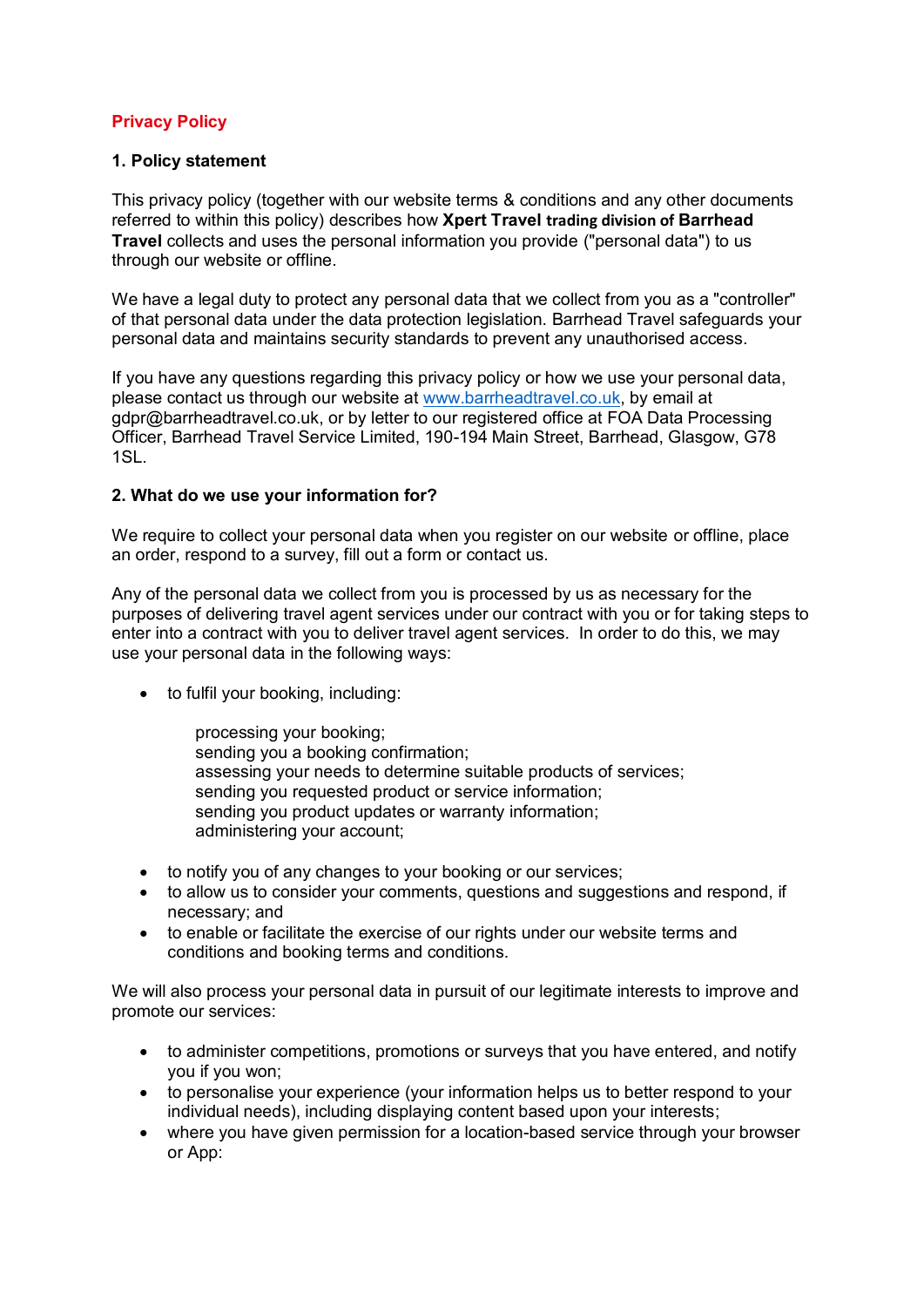# **Privacy Policy**

#### **1. Policy statement**

This privacy policy (together with our website terms & conditions and any other documents referred to within this policy) describes how **Xpert Travel trading division of Barrhead Travel** collects and uses the personal information you provide ("personal data") to us through our website or offline.

We have a legal duty to protect any personal data that we collect from you as a "controller" of that personal data under the data protection legislation. Barrhead Travel safeguards your personal data and maintains security standards to prevent any unauthorised access.

If you have any questions regarding this privacy policy or how we use your personal data, please contact us through our website at www.barrheadtravel.co.uk, by email at gdpr@barrheadtravel.co.uk, or by letter to our registered office at FOA Data Processing Officer, Barrhead Travel Service Limited, 190-194 Main Street, Barrhead, Glasgow, G78 1SL.

#### **2. What do we use your information for?**

We require to collect your personal data when you register on our website or offline, place an order, respond to a survey, fill out a form or contact us.

Any of the personal data we collect from you is processed by us as necessary for the purposes of delivering travel agent services under our contract with you or for taking steps to enter into a contract with you to deliver travel agent services. In order to do this, we may use your personal data in the following ways:

• to fulfil your booking, including:

processing your booking; sending you a booking confirmation; assessing your needs to determine suitable products of services; sending you requested product or service information; sending you product updates or warranty information; administering your account;

- to notify you of any changes to your booking or our services;
- to allow us to consider your comments, questions and suggestions and respond, if necessary; and
- to enable or facilitate the exercise of our rights under our website terms and conditions and booking terms and conditions.

We will also process your personal data in pursuit of our legitimate interests to improve and promote our services:

- to administer competitions, promotions or surveys that you have entered, and notify you if you won;
- to personalise your experience (your information helps us to better respond to your individual needs), including displaying content based upon your interests;
- where you have given permission for a location-based service through your browser or App: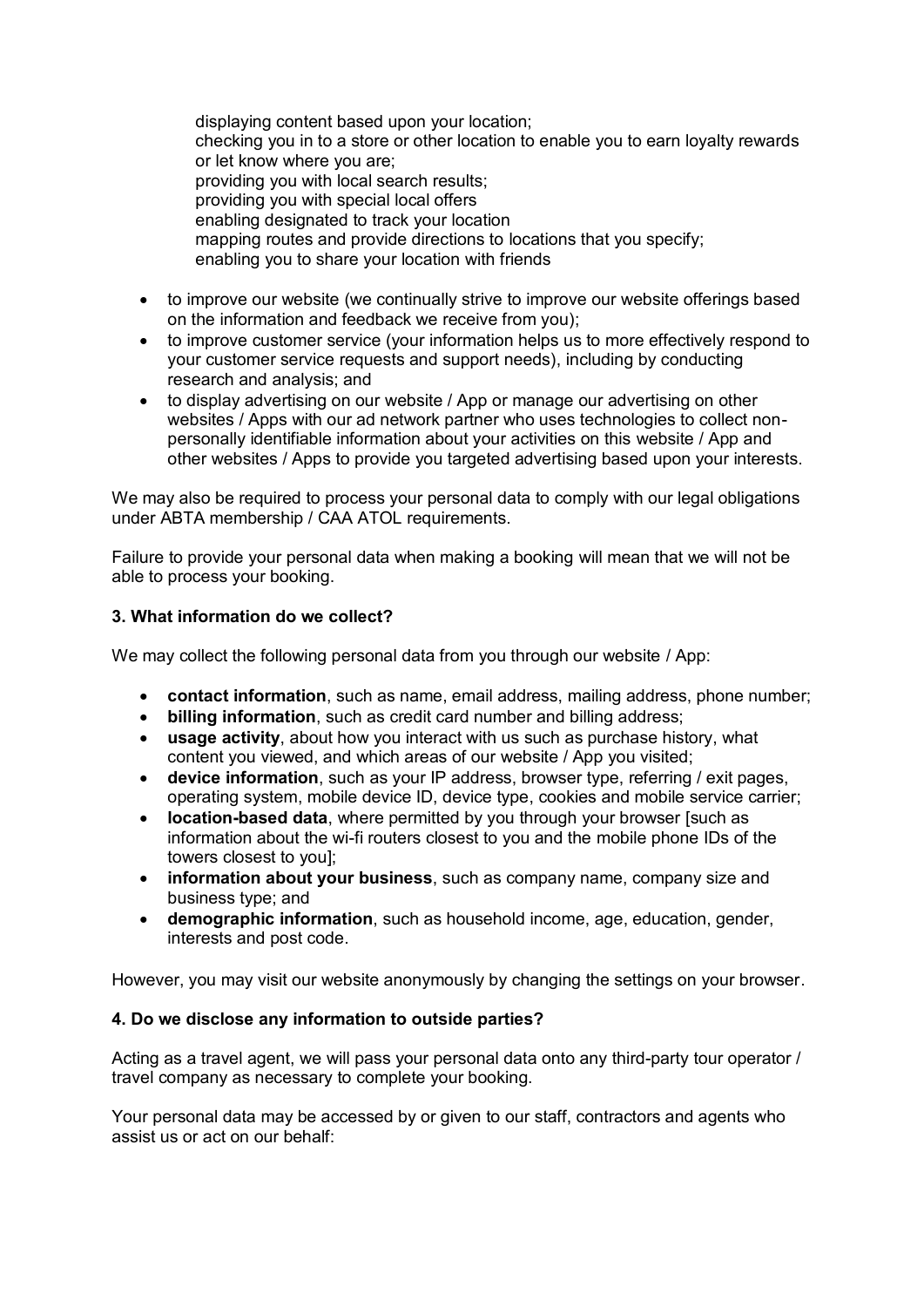displaying content based upon your location; checking you in to a store or other location to enable you to earn loyalty rewards or let know where you are; providing you with local search results; providing you with special local offers enabling designated to track your location mapping routes and provide directions to locations that you specify; enabling you to share your location with friends

- to improve our website (we continually strive to improve our website offerings based on the information and feedback we receive from you);
- to improve customer service (your information helps us to more effectively respond to your customer service requests and support needs), including by conducting research and analysis; and
- to display advertising on our website / App or manage our advertising on other websites / Apps with our ad network partner who uses technologies to collect nonpersonally identifiable information about your activities on this website / App and other websites / Apps to provide you targeted advertising based upon your interests.

We may also be required to process your personal data to comply with our legal obligations under ABTA membership / CAA ATOL requirements.

Failure to provide your personal data when making a booking will mean that we will not be able to process your booking.

## **3. What information do we collect?**

We may collect the following personal data from you through our website / App:

- **contact information**, such as name, email address, mailing address, phone number;
- **billing information**, such as credit card number and billing address;
- **usage activity**, about how you interact with us such as purchase history, what content you viewed, and which areas of our website / App you visited;
- **device information**, such as your IP address, browser type, referring / exit pages, operating system, mobile device ID, device type, cookies and mobile service carrier;
- **location-based data**, where permitted by you through your browser [such as information about the wi-fi routers closest to you and the mobile phone IDs of the towers closest to you];
- **information about your business**, such as company name, company size and business type; and
- **demographic information**, such as household income, age, education, gender, interests and post code.

However, you may visit our website anonymously by changing the settings on your browser.

### **4. Do we disclose any information to outside parties?**

Acting as a travel agent, we will pass your personal data onto any third-party tour operator / travel company as necessary to complete your booking.

Your personal data may be accessed by or given to our staff, contractors and agents who assist us or act on our behalf: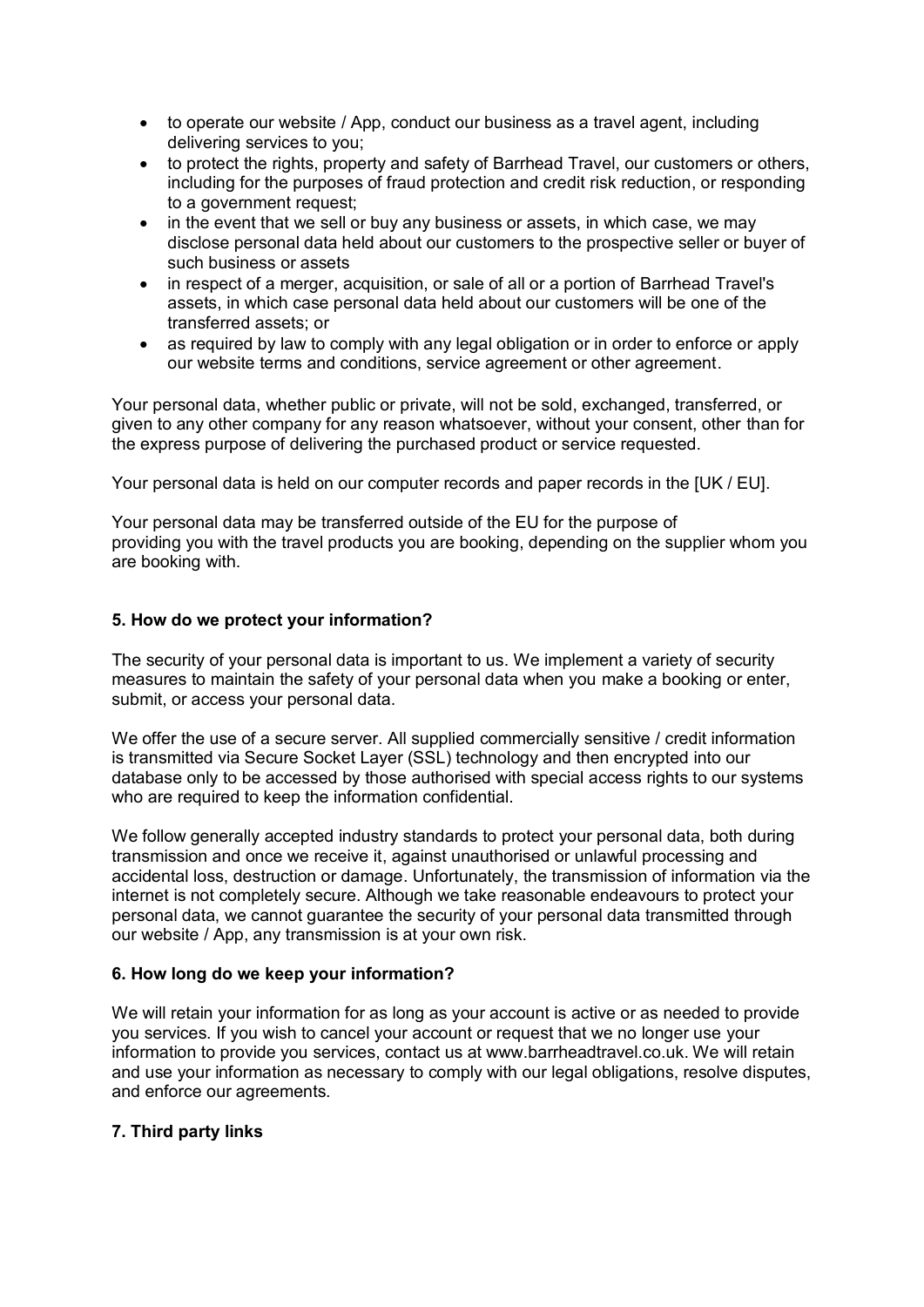- to operate our website / App, conduct our business as a travel agent, including delivering services to you;
- to protect the rights, property and safety of Barrhead Travel, our customers or others, including for the purposes of fraud protection and credit risk reduction, or responding to a government request;
- in the event that we sell or buy any business or assets, in which case, we may disclose personal data held about our customers to the prospective seller or buyer of such business or assets
- in respect of a merger, acquisition, or sale of all or a portion of Barrhead Travel's assets, in which case personal data held about our customers will be one of the transferred assets; or
- as required by law to comply with any legal obligation or in order to enforce or apply our website terms and conditions, service agreement or other agreement.

Your personal data, whether public or private, will not be sold, exchanged, transferred, or given to any other company for any reason whatsoever, without your consent, other than for the express purpose of delivering the purchased product or service requested.

Your personal data is held on our computer records and paper records in the [UK / EU].

Your personal data may be transferred outside of the EU for the purpose of providing you with the travel products you are booking, depending on the supplier whom you are booking with.

### **5. How do we protect your information?**

The security of your personal data is important to us. We implement a variety of security measures to maintain the safety of your personal data when you make a booking or enter, submit, or access your personal data.

We offer the use of a secure server. All supplied commercially sensitive / credit information is transmitted via Secure Socket Layer (SSL) technology and then encrypted into our database only to be accessed by those authorised with special access rights to our systems who are required to keep the information confidential.

We follow generally accepted industry standards to protect your personal data, both during transmission and once we receive it, against unauthorised or unlawful processing and accidental loss, destruction or damage. Unfortunately, the transmission of information via the internet is not completely secure. Although we take reasonable endeavours to protect your personal data, we cannot guarantee the security of your personal data transmitted through our website / App, any transmission is at your own risk.

### **6. How long do we keep your information?**

We will retain your information for as long as your account is active or as needed to provide you services. If you wish to cancel your account or request that we no longer use your information to provide you services, contact us at www.barrheadtravel.co.uk. We will retain and use your information as necessary to comply with our legal obligations, resolve disputes, and enforce our agreements.

### **7. Third party links**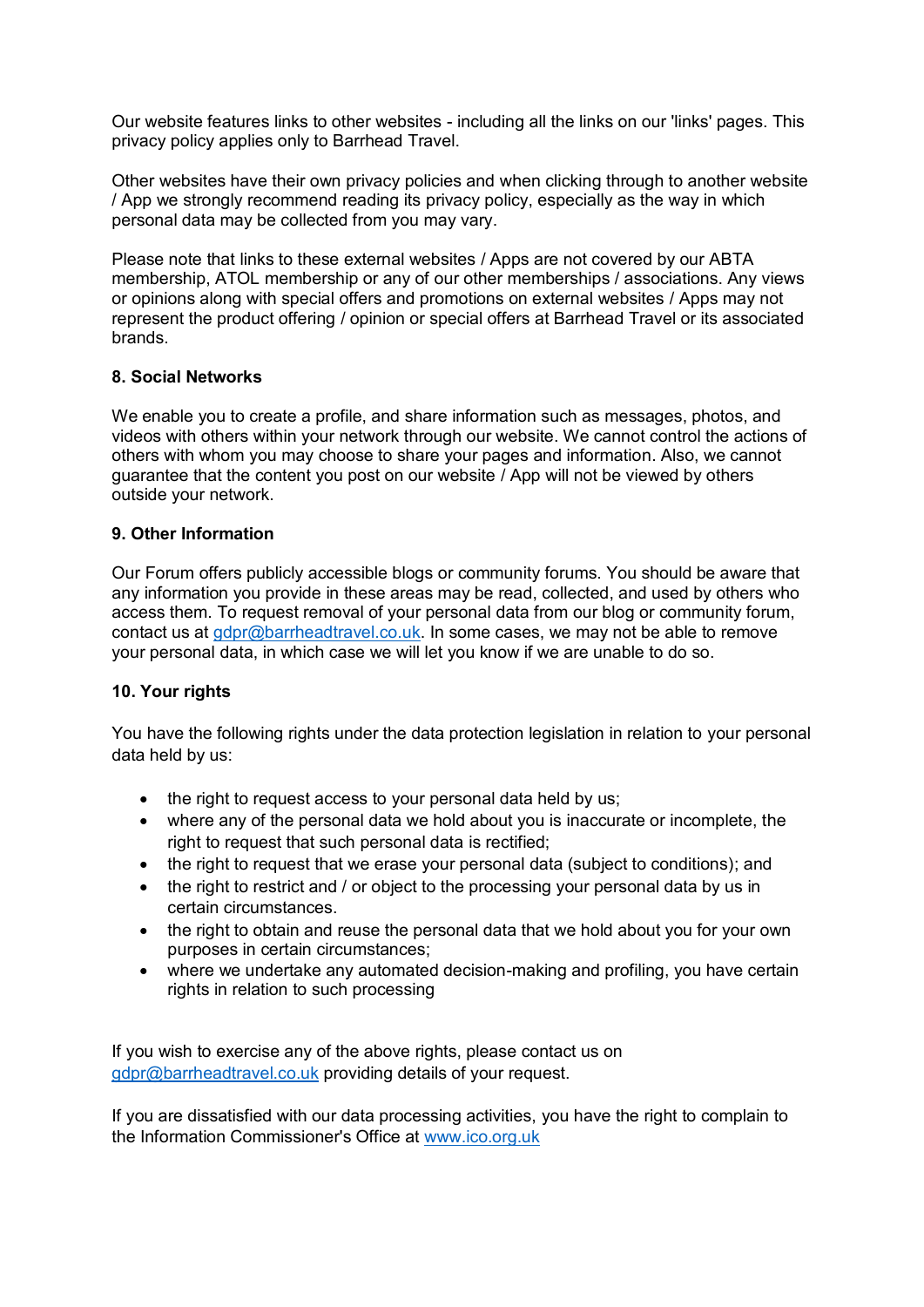Our website features links to other websites - including all the links on our 'links' pages. This privacy policy applies only to Barrhead Travel.

Other websites have their own privacy policies and when clicking through to another website / App we strongly recommend reading its privacy policy, especially as the way in which personal data may be collected from you may vary.

Please note that links to these external websites / Apps are not covered by our ABTA membership, ATOL membership or any of our other memberships / associations. Any views or opinions along with special offers and promotions on external websites / Apps may not represent the product offering / opinion or special offers at Barrhead Travel or its associated brands.

### **8. Social Networks**

We enable you to create a profile, and share information such as messages, photos, and videos with others within your network through our website. We cannot control the actions of others with whom you may choose to share your pages and information. Also, we cannot guarantee that the content you post on our website / App will not be viewed by others outside your network.

## **9. Other Information**

Our Forum offers publicly accessible blogs or community forums. You should be aware that any information you provide in these areas may be read, collected, and used by others who access them. To request removal of your personal data from our blog or community forum, contact us at gdpr@barrheadtravel.co.uk. In some cases, we may not be able to remove your personal data, in which case we will let you know if we are unable to do so.

### **10. Your rights**

You have the following rights under the data protection legislation in relation to your personal data held by us:

- the right to request access to your personal data held by us;
- where any of the personal data we hold about you is inaccurate or incomplete, the right to request that such personal data is rectified;
- the right to request that we erase your personal data (subject to conditions); and
- the right to restrict and / or object to the processing your personal data by us in certain circumstances.
- the right to obtain and reuse the personal data that we hold about you for your own purposes in certain circumstances;
- where we undertake any automated decision-making and profiling, you have certain rights in relation to such processing

If you wish to exercise any of the above rights, please contact us on gdpr@barrheadtravel.co.uk providing details of your request.

If you are dissatisfied with our data processing activities, you have the right to complain to the Information Commissioner's Office at www.ico.org.uk